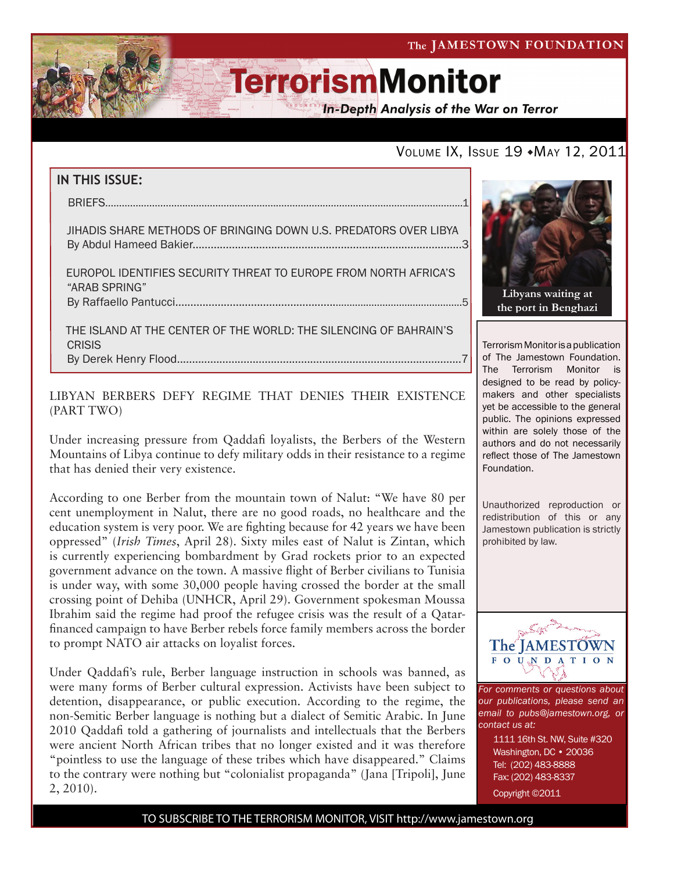The JAMESTOWN FOUNDATION

# **TerrorismMonitor**

**In-Depth Analysis of the War on Terror** 

## VOLUME IX, ISSUE 19 · MAY 12, 2011

## **IN THIS ISSUE:** briefs..................................................................................................................................1 jihadis share methods of bringing down u.s. predators over libya By Abdul Hameed Bakier.........................................................................................3 europol identifies security threat to europe from north africa's "arab Spring" by Raffaello Pantucci...................................................................................................5 the island at the center of the world: the silencing of bahrain's **CRISIS**

By Derek Henry Flood..............................................................................................7

### LIBYAN BERBERS DEFY REGIME THAT DENIES THEIR EXISTENCE (PART TWO)

Under increasing pressure from Qaddafi loyalists, the Berbers of the Western Mountains of Libya continue to defy military odds in their resistance to a regime that has denied their very existence.

According to one Berber from the mountain town of Nalut: "We have 80 per cent unemployment in Nalut, there are no good roads, no healthcare and the education system is very poor. We are fighting because for 42 years we have been oppressed" (*Irish Times*, April 28). Sixty miles east of Nalut is Zintan, which is currently experiencing bombardment by Grad rockets prior to an expected government advance on the town. A massive flight of Berber civilians to Tunisia is under way, with some 30,000 people having crossed the border at the small crossing point of Dehiba (UNHCR, April 29). Government spokesman Moussa Ibrahim said the regime had proof the refugee crisis was the result of a Qatarfinanced campaign to have Berber rebels force family members across the border to prompt NATO air attacks on loyalist forces.

Under Qaddafi's rule, Berber language instruction in schools was banned, as were many forms of Berber cultural expression. Activists have been subject to detention, disappearance, or public execution. According to the regime, the non-Semitic Berber language is nothing but a dialect of Semitic Arabic. In June 2010 Qaddafi told a gathering of journalists and intellectuals that the Berbers were ancient North African tribes that no longer existed and it was therefore "pointless to use the language of these tribes which have disappeared." Claims to the contrary were nothing but "colonialist propaganda" (Jana [Tripoli], June 2, 2010).



Terrorism Monitor is a publication of The Jamestown Foundation. The Terrorism Monitor is designed to be read by policymakers and other specialists yet be accessible to the general public. The opinions expressed within are solely those of the authors and do not necessarily reflect those of The Jamestown Foundation.

Unauthorized reproduction or redistribution of this or any Jamestown publication is strictly prohibited by law.



*For comments or questions about our publications, please send an email to pubs@jamestown.org, or contact us at:* 

> 1111 16th St. NW, Suite #320 Washington, DC • 20036 Tel: (202) 483-8888 Fax: (202) 483-8337

Copyright ©2011

TO SUBSCRIBE TO THE TERRORISM MONITOR, VISIT http://www.jamestown.org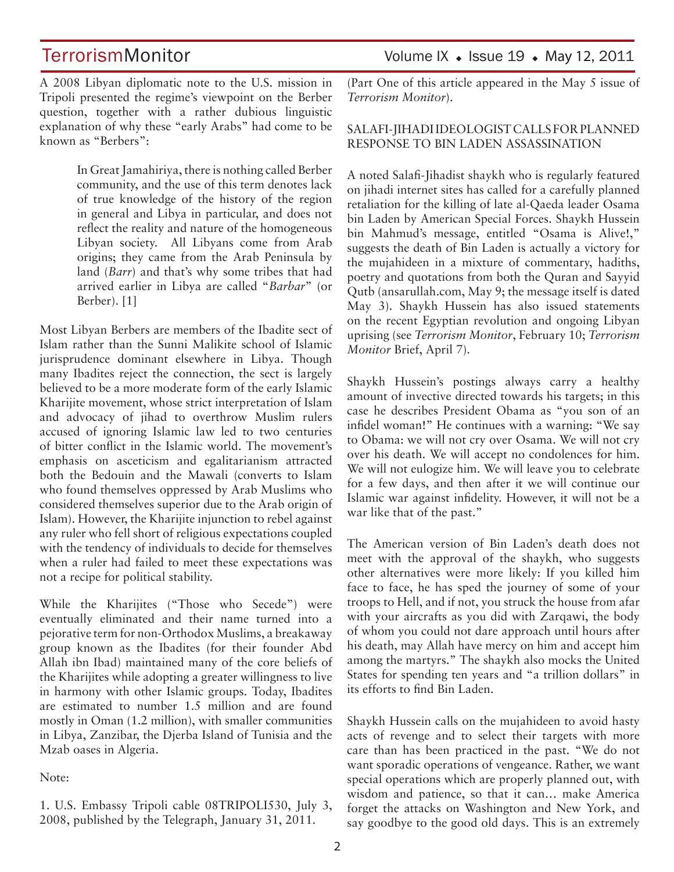A 2008 Libyan diplomatic note to the U.S. mission in Tripoli presented the regime's viewpoint on the Berber question, together with a rather dubious linguistic explanation of why these "early Arabs" had come to be known as "Berbers":

> In Great Jamahiriya, there is nothing called Berber community, and the use of this term denotes lack of true knowledge of the history of the region in general and Libya in particular, and does not reflect the reality and nature of the homogeneous Libyan society. All Libyans come from Arab origins; they came from the Arab Peninsula by land (*Barr*) and that's why some tribes that had arrived earlier in Libya are called "*Barbar*" (or Berber). [1]

Most Libyan Berbers are members of the Ibadite sect of Islam rather than the Sunni Malikite school of Islamic jurisprudence dominant elsewhere in Libya. Though many Ibadites reject the connection, the sect is largely believed to be a more moderate form of the early Islamic Kharijite movement, whose strict interpretation of Islam and advocacy of jihad to overthrow Muslim rulers accused of ignoring Islamic law led to two centuries of bitter conflict in the Islamic world. The movement's emphasis on asceticism and egalitarianism attracted both the Bedouin and the Mawali (converts to Islam who found themselves oppressed by Arab Muslims who considered themselves superior due to the Arab origin of Islam). However, the Kharijite injunction to rebel against any ruler who fell short of religious expectations coupled with the tendency of individuals to decide for themselves when a ruler had failed to meet these expectations was not a recipe for political stability.

While the Kharijites ("Those who Secede") were eventually eliminated and their name turned into a pejorative term for non-Orthodox Muslims, a breakaway group known as the Ibadites (for their founder Abd Allah ibn Ibad) maintained many of the core beliefs of the Kharijites while adopting a greater willingness to live in harmony with other Islamic groups. Today, Ibadites are estimated to number 1.5 million and are found mostly in Oman (1.2 million), with smaller communities in Libya, Zanzibar, the Djerba Island of Tunisia and the Mzab oases in Algeria.

#### Note:

1. U.S. Embassy Tripoli cable 08TRIPOLI530, July 3, 2008, published by the Telegraph, January 31, 2011.

(Part One of this article appeared in the May 5 issue of *Terrorism Monitor*).

### SALAFI-JIHADI IDEOLOGIST CALLS FOR PLANNED RESPONSE TO BIN LADEN ASSASSINATION

A noted Salafi-Jihadist shaykh who is regularly featured on jihadi internet sites has called for a carefully planned retaliation for the killing of late al-Qaeda leader Osama bin Laden by American Special Forces. Shaykh Hussein bin Mahmud's message, entitled "Osama is Alive!," suggests the death of Bin Laden is actually a victory for the mujahideen in a mixture of commentary, hadiths, poetry and quotations from both the Quran and Sayyid Qutb (ansarullah.com, May 9; the message itself is dated May 3). Shaykh Hussein has also issued statements on the recent Egyptian revolution and ongoing Libyan uprising (see *Terrorism Monitor*, February 10; *Terrorism Monitor* Brief, April 7).

Shaykh Hussein's postings always carry a healthy amount of invective directed towards his targets; in this case he describes President Obama as "you son of an infidel woman!" He continues with a warning: "We say to Obama: we will not cry over Osama. We will not cry over his death. We will accept no condolences for him. We will not eulogize him. We will leave you to celebrate for a few days, and then after it we will continue our Islamic war against infidelity. However, it will not be a war like that of the past."

The American version of Bin Laden's death does not meet with the approval of the shaykh, who suggests other alternatives were more likely: If you killed him face to face, he has sped the journey of some of your troops to Hell, and if not, you struck the house from afar with your aircrafts as you did with Zarqawi, the body of whom you could not dare approach until hours after his death, may Allah have mercy on him and accept him among the martyrs." The shaykh also mocks the United States for spending ten years and "a trillion dollars" in its efforts to find Bin Laden.

Shaykh Hussein calls on the mujahideen to avoid hasty acts of revenge and to select their targets with more care than has been practiced in the past. "We do not want sporadic operations of vengeance. Rather, we want special operations which are properly planned out, with wisdom and patience, so that it can… make America forget the attacks on Washington and New York, and say goodbye to the good old days. This is an extremely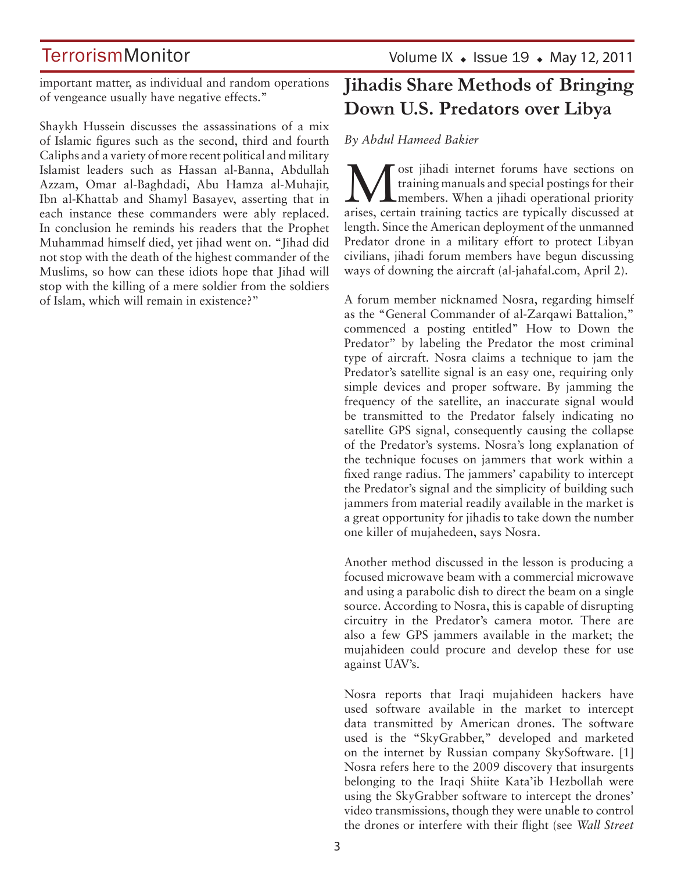## **TerrorismMonitor**

Volume IX  $\bullet$  Issue 19  $\bullet$  May 12, 2011

important matter, as individual and random operations of vengeance usually have negative effects."

Shaykh Hussein discusses the assassinations of a mix of Islamic figures such as the second, third and fourth Caliphs and a variety of more recent political and military Islamist leaders such as Hassan al-Banna, Abdullah Azzam, Omar al-Baghdadi, Abu Hamza al-Muhajir, Ibn al-Khattab and Shamyl Basayev, asserting that in each instance these commanders were ably replaced. In conclusion he reminds his readers that the Prophet Muhammad himself died, yet jihad went on. "Jihad did not stop with the death of the highest commander of the Muslims, so how can these idiots hope that Jihad will stop with the killing of a mere soldier from the soldiers of Islam, which will remain in existence?"

## **Jihadis Share Methods of Bringing Down U.S. Predators over Libya**

*By Abdul Hameed Bakier*

**M** ost jihadi internet forums have sections on training manuals and special postings for their members. When a jihadi operational priority training manuals and special postings for their arises, certain training tactics are typically discussed at length. Since the American deployment of the unmanned Predator drone in a military effort to protect Libyan civilians, jihadi forum members have begun discussing ways of downing the aircraft (al-jahafal.com, April 2).

A forum member nicknamed Nosra, regarding himself as the "General Commander of al-Zarqawi Battalion," commenced a posting entitled" How to Down the Predator" by labeling the Predator the most criminal type of aircraft. Nosra claims a technique to jam the Predator's satellite signal is an easy one, requiring only simple devices and proper software. By jamming the frequency of the satellite, an inaccurate signal would be transmitted to the Predator falsely indicating no satellite GPS signal, consequently causing the collapse of the Predator's systems. Nosra's long explanation of the technique focuses on jammers that work within a fixed range radius. The jammers' capability to intercept the Predator's signal and the simplicity of building such jammers from material readily available in the market is a great opportunity for jihadis to take down the number one killer of mujahedeen, says Nosra.

Another method discussed in the lesson is producing a focused microwave beam with a commercial microwave and using a parabolic dish to direct the beam on a single source. According to Nosra, this is capable of disrupting circuitry in the Predator's camera motor. There are also a few GPS jammers available in the market; the mujahideen could procure and develop these for use against UAV's.

Nosra reports that Iraqi mujahideen hackers have used software available in the market to intercept data transmitted by American drones. The software used is the "SkyGrabber," developed and marketed on the internet by Russian company SkySoftware. [1] Nosra refers here to the 2009 discovery that insurgents belonging to the Iraqi Shiite Kata'ib Hezbollah were using the SkyGrabber software to intercept the drones' video transmissions, though they were unable to control the drones or interfere with their flight (see *Wall Street*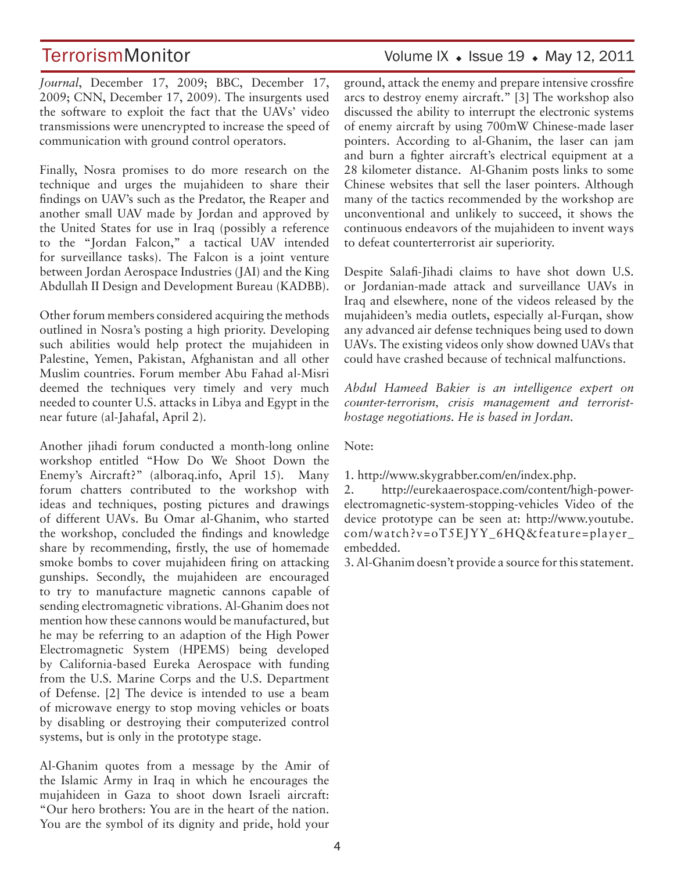TerrorismMonitor Volume IX + Issue 19 + May 12, 2011

*Journal*, December 17, 2009; BBC, December 17, 2009; CNN, December 17, 2009). The insurgents used the software to exploit the fact that the UAVs' video transmissions were unencrypted to increase the speed of communication with ground control operators.

Finally, Nosra promises to do more research on the technique and urges the mujahideen to share their findings on UAV's such as the Predator, the Reaper and another small UAV made by Jordan and approved by the United States for use in Iraq (possibly a reference to the "Jordan Falcon," a tactical UAV intended for surveillance tasks). The Falcon is a joint venture between Jordan Aerospace Industries (JAI) and the King Abdullah II Design and Development Bureau (KADBB).

Other forum members considered acquiring the methods outlined in Nosra's posting a high priority. Developing such abilities would help protect the mujahideen in Palestine, Yemen, Pakistan, Afghanistan and all other Muslim countries. Forum member Abu Fahad al-Misri deemed the techniques very timely and very much needed to counter U.S. attacks in Libya and Egypt in the near future (al-Jahafal, April 2).

Another jihadi forum conducted a month-long online workshop entitled "How Do We Shoot Down the Enemy's Aircraft?" (alboraq.info, April 15). Many forum chatters contributed to the workshop with ideas and techniques, posting pictures and drawings of different UAVs. Bu Omar al-Ghanim, who started the workshop, concluded the findings and knowledge share by recommending, firstly, the use of homemade smoke bombs to cover mujahideen firing on attacking gunships. Secondly, the mujahideen are encouraged to try to manufacture magnetic cannons capable of sending electromagnetic vibrations. Al-Ghanim does not mention how these cannons would be manufactured, but he may be referring to an adaption of the High Power Electromagnetic System (HPEMS) being developed by California-based Eureka Aerospace with funding from the U.S. Marine Corps and the U.S. Department of Defense. [2] The device is intended to use a beam of microwave energy to stop moving vehicles or boats by disabling or destroying their computerized control systems, but is only in the prototype stage.

Al-Ghanim quotes from a message by the Amir of the Islamic Army in Iraq in which he encourages the mujahideen in Gaza to shoot down Israeli aircraft: "Our hero brothers: You are in the heart of the nation. You are the symbol of its dignity and pride, hold your

ground, attack the enemy and prepare intensive crossfire arcs to destroy enemy aircraft." [3] The workshop also discussed the ability to interrupt the electronic systems of enemy aircraft by using 700mW Chinese-made laser pointers. According to al-Ghanim, the laser can jam and burn a fighter aircraft's electrical equipment at a 28 kilometer distance. Al-Ghanim posts links to some Chinese websites that sell the laser pointers. Although many of the tactics recommended by the workshop are unconventional and unlikely to succeed, it shows the continuous endeavors of the mujahideen to invent ways to defeat counterterrorist air superiority.

Despite Salafi-Jihadi claims to have shot down U.S. or Jordanian-made attack and surveillance UAVs in Iraq and elsewhere, none of the videos released by the mujahideen's media outlets, especially al-Furqan, show any advanced air defense techniques being used to down UAVs. The existing videos only show downed UAVs that could have crashed because of technical malfunctions.

*Abdul Hameed Bakier is an intelligence expert on counter-terrorism, crisis management and terroristhostage negotiations. He is based in Jordan.*

Note:

1. http://www.skygrabber.com/en/index.php.

2. http://eurekaaerospace.com/content/high-powerelectromagnetic-system-stopping-vehicles Video of the device prototype can be seen at: http://www.youtube. com/watch?v=oT5EJYY\_6HQ&feature=player\_ embedded.

3. Al-Ghanim doesn't provide a source for this statement.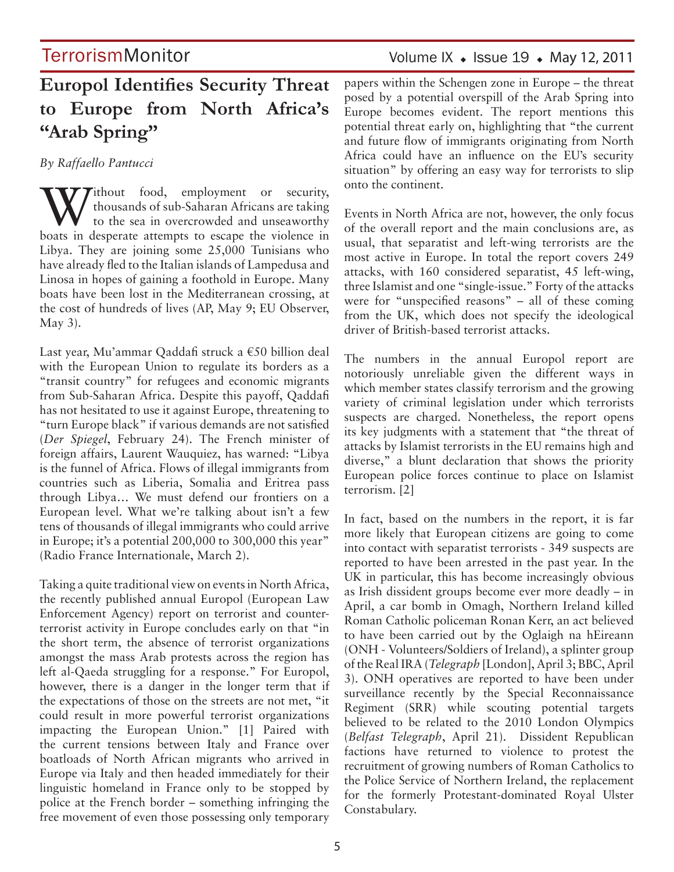## Volume IX  $\bullet$  Issue 19  $\bullet$  May 12, 2011

## **Europol Identifies Security Threat to Europe from North Africa's "Arab Spring"**

*By Raffaello Pantucci* 

**Tithout** food, employment or security, thousands of sub-Saharan Africans are taking to the sea in overcrowded and unseaworthy boats in desperate attempts to escape the violence in Libya. They are joining some 25,000 Tunisians who have already fled to the Italian islands of Lampedusa and Linosa in hopes of gaining a foothold in Europe. Many boats have been lost in the Mediterranean crossing, at the cost of hundreds of lives (AP, May 9; EU Observer, May 3).

Last year, Mu'ammar Qaddafi struck a €50 billion deal with the European Union to regulate its borders as a "transit country" for refugees and economic migrants from Sub-Saharan Africa. Despite this payoff, Qaddafi has not hesitated to use it against Europe, threatening to "turn Europe black" if various demands are not satisfied (*Der Spiegel*, February 24). The French minister of foreign affairs, Laurent Wauquiez, has warned: "Libya is the funnel of Africa. Flows of illegal immigrants from countries such as Liberia, Somalia and Eritrea pass through Libya… We must defend our frontiers on a European level. What we're talking about isn't a few tens of thousands of illegal immigrants who could arrive in Europe; it's a potential 200,000 to 300,000 this year" (Radio France Internationale, March 2).

Taking a quite traditional view on events in North Africa, the recently published annual Europol (European Law Enforcement Agency) report on terrorist and counterterrorist activity in Europe concludes early on that "in the short term, the absence of terrorist organizations amongst the mass Arab protests across the region has left al-Qaeda struggling for a response." For Europol, however, there is a danger in the longer term that if the expectations of those on the streets are not met, "it could result in more powerful terrorist organizations impacting the European Union." [1] Paired with the current tensions between Italy and France over boatloads of North African migrants who arrived in Europe via Italy and then headed immediately for their linguistic homeland in France only to be stopped by police at the French border – something infringing the free movement of even those possessing only temporary papers within the Schengen zone in Europe – the threat posed by a potential overspill of the Arab Spring into Europe becomes evident. The report mentions this potential threat early on, highlighting that "the current and future flow of immigrants originating from North Africa could have an influence on the EU's security situation" by offering an easy way for terrorists to slip onto the continent.

Events in North Africa are not, however, the only focus of the overall report and the main conclusions are, as usual, that separatist and left-wing terrorists are the most active in Europe. In total the report covers 249 attacks, with 160 considered separatist, 45 left-wing, three Islamist and one "single-issue." Forty of the attacks were for "unspecified reasons" – all of these coming from the UK, which does not specify the ideological driver of British-based terrorist attacks.

The numbers in the annual Europol report are notoriously unreliable given the different ways in which member states classify terrorism and the growing variety of criminal legislation under which terrorists suspects are charged. Nonetheless, the report opens its key judgments with a statement that "the threat of attacks by Islamist terrorists in the EU remains high and diverse," a blunt declaration that shows the priority European police forces continue to place on Islamist terrorism. [2]

In fact, based on the numbers in the report, it is far more likely that European citizens are going to come into contact with separatist terrorists - 349 suspects are reported to have been arrested in the past year. In the UK in particular, this has become increasingly obvious as Irish dissident groups become ever more deadly – in April, a car bomb in Omagh, Northern Ireland killed Roman Catholic policeman Ronan Kerr, an act believed to have been carried out by the Oglaigh na hEireann (ONH - Volunteers/Soldiers of Ireland), a splinter group of the Real IRA (*Telegraph* [London], April 3; BBC, April 3). ONH operatives are reported to have been under surveillance recently by the Special Reconnaissance Regiment (SRR) while scouting potential targets believed to be related to the 2010 London Olympics (*Belfast Telegraph*, April 21). Dissident Republican factions have returned to violence to protest the recruitment of growing numbers of Roman Catholics to the Police Service of Northern Ireland, the replacement for the formerly Protestant-dominated Royal Ulster Constabulary.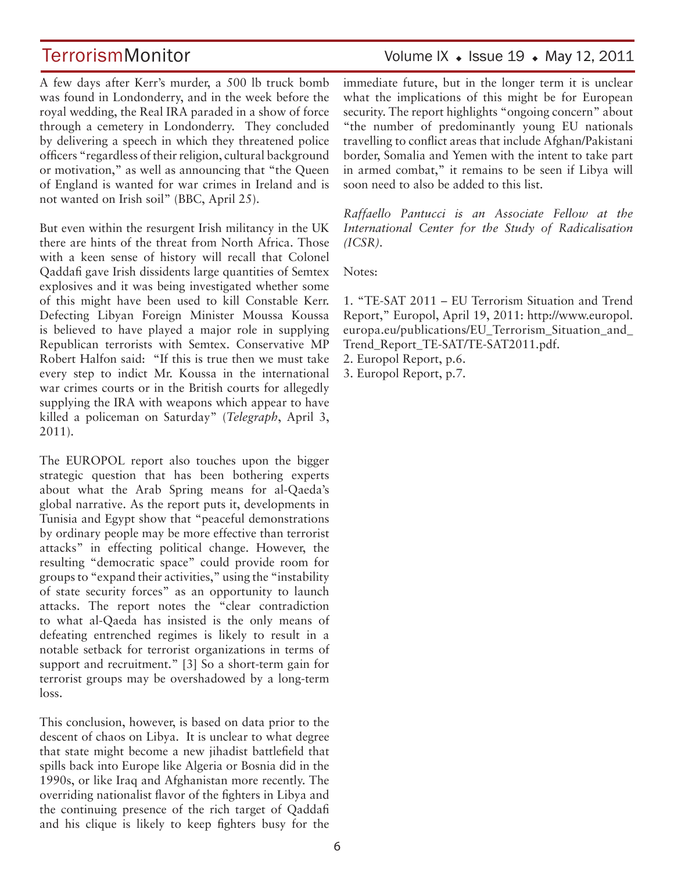## TerrorismMonitor Volume IX + Issue 19 + May 12, 2011

A few days after Kerr's murder, a 500 lb truck bomb was found in Londonderry, and in the week before the royal wedding, the Real IRA paraded in a show of force through a cemetery in Londonderry. They concluded by delivering a speech in which they threatened police officers "regardless of their religion, cultural background or motivation," as well as announcing that "the Queen of England is wanted for war crimes in Ireland and is not wanted on Irish soil" (BBC, April 25).

But even within the resurgent Irish militancy in the UK there are hints of the threat from North Africa. Those with a keen sense of history will recall that Colonel Qaddafi gave Irish dissidents large quantities of Semtex explosives and it was being investigated whether some of this might have been used to kill Constable Kerr. Defecting Libyan Foreign Minister Moussa Koussa is believed to have played a major role in supplying Republican terrorists with Semtex. Conservative MP Robert Halfon said: "If this is true then we must take every step to indict Mr. Koussa in the international war crimes courts or in the British courts for allegedly supplying the IRA with weapons which appear to have killed a policeman on Saturday" (*Telegraph*, April 3, 2011).

The EUROPOL report also touches upon the bigger strategic question that has been bothering experts about what the Arab Spring means for al-Qaeda's global narrative. As the report puts it, developments in Tunisia and Egypt show that "peaceful demonstrations by ordinary people may be more effective than terrorist attacks" in effecting political change. However, the resulting "democratic space" could provide room for groups to "expand their activities," using the "instability of state security forces" as an opportunity to launch attacks. The report notes the "clear contradiction to what al-Qaeda has insisted is the only means of defeating entrenched regimes is likely to result in a notable setback for terrorist organizations in terms of support and recruitment." [3] So a short-term gain for terrorist groups may be overshadowed by a long-term loss.

This conclusion, however, is based on data prior to the descent of chaos on Libya. It is unclear to what degree that state might become a new jihadist battlefield that spills back into Europe like Algeria or Bosnia did in the 1990s, or like Iraq and Afghanistan more recently. The overriding nationalist flavor of the fighters in Libya and the continuing presence of the rich target of Qaddafi and his clique is likely to keep fighters busy for the immediate future, but in the longer term it is unclear what the implications of this might be for European security. The report highlights "ongoing concern" about "the number of predominantly young EU nationals travelling to conflict areas that include Afghan/Pakistani border, Somalia and Yemen with the intent to take part in armed combat," it remains to be seen if Libya will soon need to also be added to this list.

*Raffaello Pantucci is an Associate Fellow at the International Center for the Study of Radicalisation (ICSR).*

Notes:

1. "TE-SAT 2011 – EU Terrorism Situation and Trend Report," Europol, April 19, 2011: http://www.europol. europa.eu/publications/EU\_Terrorism\_Situation\_and\_ Trend\_Report\_TE-SAT/TE-SAT2011.pdf.

2. Europol Report, p.6.

3. Europol Report, p.7.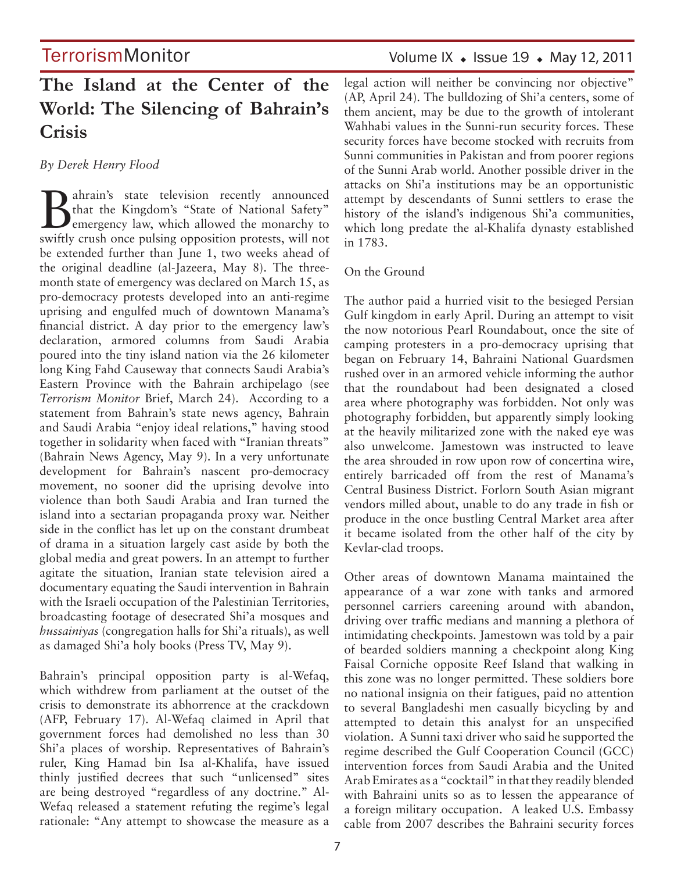## **The Island at the Center of the World: The Silencing of Bahrain's Crisis**

*By Derek Henry Flood*

Bahrain's state television recently announced<br>
that the Kingdom's "State of National Safety"<br>
emergency law, which allowed the monarchy to A ahrain's state television recently announced<br>that the Kingdom's "State of National Safety" swiftly crush once pulsing opposition protests, will not be extended further than June 1, two weeks ahead of the original deadline (al-Jazeera, May 8). The threemonth state of emergency was declared on March 15, as pro-democracy protests developed into an anti-regime uprising and engulfed much of downtown Manama's financial district. A day prior to the emergency law's declaration, armored columns from Saudi Arabia poured into the tiny island nation via the 26 kilometer long King Fahd Causeway that connects Saudi Arabia's Eastern Province with the Bahrain archipelago (see *Terrorism Monitor* Brief, March 24). According to a statement from Bahrain's state news agency, Bahrain and Saudi Arabia "enjoy ideal relations," having stood together in solidarity when faced with "Iranian threats" (Bahrain News Agency, May 9). In a very unfortunate development for Bahrain's nascent pro-democracy movement, no sooner did the uprising devolve into violence than both Saudi Arabia and Iran turned the island into a sectarian propaganda proxy war. Neither side in the conflict has let up on the constant drumbeat of drama in a situation largely cast aside by both the global media and great powers. In an attempt to further agitate the situation, Iranian state television aired a documentary equating the Saudi intervention in Bahrain with the Israeli occupation of the Palestinian Territories, broadcasting footage of desecrated Shi'a mosques and *hussainiyas* (congregation halls for Shi'a rituals), as well as damaged Shi'a holy books (Press TV, May 9).

Bahrain's principal opposition party is al-Wefaq, which withdrew from parliament at the outset of the crisis to demonstrate its abhorrence at the crackdown (AFP, February 17). Al-Wefaq claimed in April that government forces had demolished no less than 30 Shi'a places of worship. Representatives of Bahrain's ruler, King Hamad bin Isa al-Khalifa, have issued thinly justified decrees that such "unlicensed" sites are being destroyed "regardless of any doctrine." Al-Wefaq released a statement refuting the regime's legal rationale: "Any attempt to showcase the measure as a

## Volume IX  $\bullet$  Issue 19  $\bullet$  May 12, 2011

legal action will neither be convincing nor objective" (AP, April 24). The bulldozing of Shi'a centers, some of them ancient, may be due to the growth of intolerant Wahhabi values in the Sunni-run security forces. These security forces have become stocked with recruits from Sunni communities in Pakistan and from poorer regions of the Sunni Arab world. Another possible driver in the attacks on Shi'a institutions may be an opportunistic attempt by descendants of Sunni settlers to erase the history of the island's indigenous Shi'a communities, which long predate the al-Khalifa dynasty established in 1783.

### On the Ground

The author paid a hurried visit to the besieged Persian Gulf kingdom in early April. During an attempt to visit the now notorious Pearl Roundabout, once the site of camping protesters in a pro-democracy uprising that began on February 14, Bahraini National Guardsmen rushed over in an armored vehicle informing the author that the roundabout had been designated a closed area where photography was forbidden. Not only was photography forbidden, but apparently simply looking at the heavily militarized zone with the naked eye was also unwelcome. Jamestown was instructed to leave the area shrouded in row upon row of concertina wire, entirely barricaded off from the rest of Manama's Central Business District. Forlorn South Asian migrant vendors milled about, unable to do any trade in fish or produce in the once bustling Central Market area after it became isolated from the other half of the city by Kevlar-clad troops.

Other areas of downtown Manama maintained the appearance of a war zone with tanks and armored personnel carriers careening around with abandon, driving over traffic medians and manning a plethora of intimidating checkpoints. Jamestown was told by a pair of bearded soldiers manning a checkpoint along King Faisal Corniche opposite Reef Island that walking in this zone was no longer permitted. These soldiers bore no national insignia on their fatigues, paid no attention to several Bangladeshi men casually bicycling by and attempted to detain this analyst for an unspecified violation. A Sunni taxi driver who said he supported the regime described the Gulf Cooperation Council (GCC) intervention forces from Saudi Arabia and the United Arab Emirates as a "cocktail" in that they readily blended with Bahraini units so as to lessen the appearance of a foreign military occupation. A leaked U.S. Embassy cable from 2007 describes the Bahraini security forces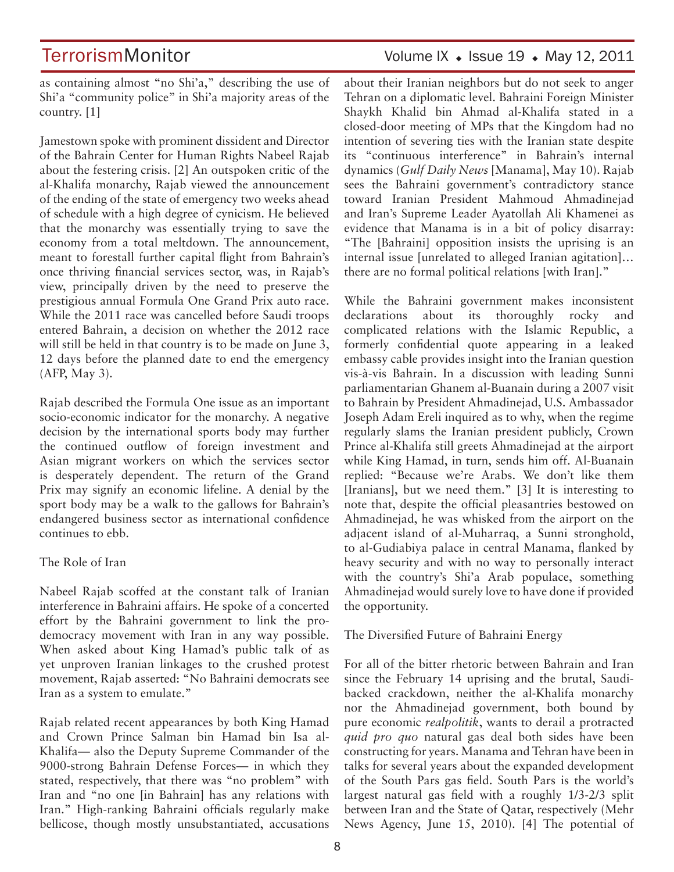as containing almost "no Shi'a," describing the use of Shi'a "community police" in Shi'a majority areas of the country. [1]

Jamestown spoke with prominent dissident and Director of the Bahrain Center for Human Rights Nabeel Rajab about the festering crisis. [2] An outspoken critic of the al-Khalifa monarchy, Rajab viewed the announcement of the ending of the state of emergency two weeks ahead of schedule with a high degree of cynicism. He believed that the monarchy was essentially trying to save the economy from a total meltdown. The announcement, meant to forestall further capital flight from Bahrain's once thriving financial services sector, was, in Rajab's view, principally driven by the need to preserve the prestigious annual Formula One Grand Prix auto race. While the 2011 race was cancelled before Saudi troops entered Bahrain, a decision on whether the 2012 race will still be held in that country is to be made on June 3, 12 days before the planned date to end the emergency (AFP, May 3).

Rajab described the Formula One issue as an important socio-economic indicator for the monarchy. A negative decision by the international sports body may further the continued outflow of foreign investment and Asian migrant workers on which the services sector is desperately dependent. The return of the Grand Prix may signify an economic lifeline. A denial by the sport body may be a walk to the gallows for Bahrain's endangered business sector as international confidence continues to ebb.

### The Role of Iran

Nabeel Rajab scoffed at the constant talk of Iranian interference in Bahraini affairs. He spoke of a concerted effort by the Bahraini government to link the prodemocracy movement with Iran in any way possible. When asked about King Hamad's public talk of as yet unproven Iranian linkages to the crushed protest movement, Rajab asserted: "No Bahraini democrats see Iran as a system to emulate."

Rajab related recent appearances by both King Hamad and Crown Prince Salman bin Hamad bin Isa al-Khalifa— also the Deputy Supreme Commander of the 9000-strong Bahrain Defense Forces— in which they stated, respectively, that there was "no problem" with Iran and "no one [in Bahrain] has any relations with Iran." High-ranking Bahraini officials regularly make bellicose, though mostly unsubstantiated, accusations

## TerrorismMonitor Volume IX + Issue 19 + May 12, 2011

about their Iranian neighbors but do not seek to anger Tehran on a diplomatic level. Bahraini Foreign Minister Shaykh Khalid bin Ahmad al-Khalifa stated in a closed-door meeting of MPs that the Kingdom had no intention of severing ties with the Iranian state despite its "continuous interference" in Bahrain's internal dynamics (*Gulf Daily News* [Manama], May 10). Rajab sees the Bahraini government's contradictory stance toward Iranian President Mahmoud Ahmadinejad and Iran's Supreme Leader Ayatollah Ali Khamenei as evidence that Manama is in a bit of policy disarray: "The [Bahraini] opposition insists the uprising is an internal issue [unrelated to alleged Iranian agitation]… there are no formal political relations [with Iran]."

While the Bahraini government makes inconsistent declarations about its thoroughly rocky and complicated relations with the Islamic Republic, a formerly confidential quote appearing in a leaked embassy cable provides insight into the Iranian question vis-à-vis Bahrain. In a discussion with leading Sunni parliamentarian Ghanem al-Buanain during a 2007 visit to Bahrain by President Ahmadinejad, U.S. Ambassador Joseph Adam Ereli inquired as to why, when the regime regularly slams the Iranian president publicly, Crown Prince al-Khalifa still greets Ahmadinejad at the airport while King Hamad, in turn, sends him off. Al-Buanain replied: "Because we're Arabs. We don't like them [Iranians], but we need them." [3] It is interesting to note that, despite the official pleasantries bestowed on Ahmadinejad, he was whisked from the airport on the adjacent island of al-Muharraq, a Sunni stronghold, to al-Gudiabiya palace in central Manama, flanked by heavy security and with no way to personally interact with the country's Shi'a Arab populace, something Ahmadinejad would surely love to have done if provided the opportunity.

### The Diversified Future of Bahraini Energy

For all of the bitter rhetoric between Bahrain and Iran since the February 14 uprising and the brutal, Saudibacked crackdown, neither the al-Khalifa monarchy nor the Ahmadinejad government, both bound by pure economic *realpolitik*, wants to derail a protracted *quid pro quo* natural gas deal both sides have been constructing for years. Manama and Tehran have been in talks for several years about the expanded development of the South Pars gas field. South Pars is the world's largest natural gas field with a roughly 1/3-2/3 split between Iran and the State of Qatar, respectively (Mehr News Agency, June 15, 2010). [4] The potential of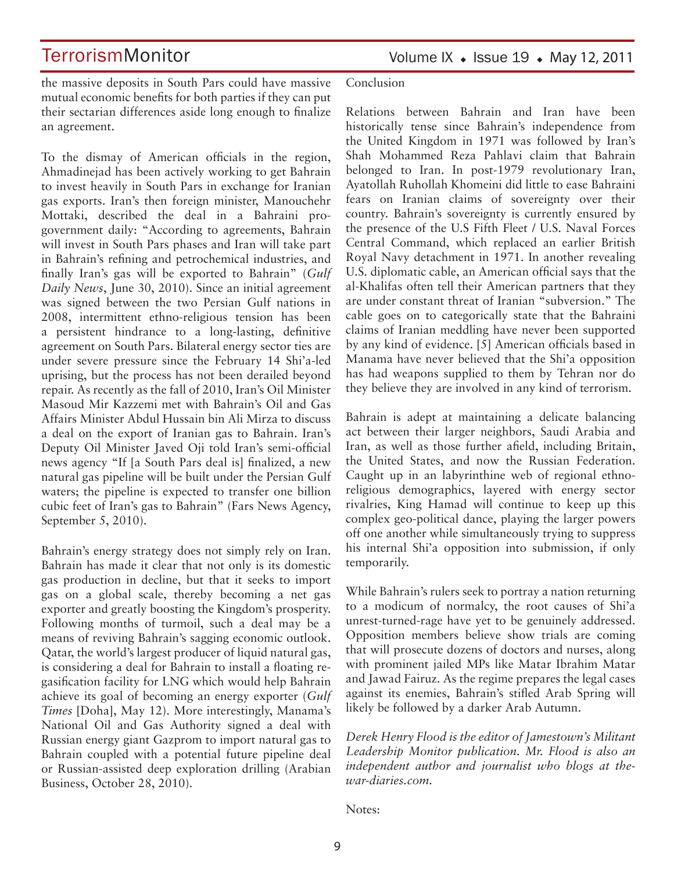## **TerrorismMonitor**

the massive deposits in South Pars could have massive mutual economic benefits for both parties if they can put their sectarian differences aside long enough to finalize an agreement.

To the dismay of American officials in the region, Ahmadinejad has been actively working to get Bahrain to invest heavily in South Pars in exchange for Iranian gas exports. Iran's then foreign minister, Manouchehr Mottaki, described the deal in a Bahraini progovernment daily: "According to agreements, Bahrain will invest in South Pars phases and Iran will take part in Bahrain's refining and petrochemical industries, and finally Iran's gas will be exported to Bahrain" (*Gulf Daily News*, June 30, 2010). Since an initial agreement was signed between the two Persian Gulf nations in 2008, intermittent ethno-religious tension has been a persistent hindrance to a long-lasting, definitive agreement on South Pars. Bilateral energy sector ties are under severe pressure since the February 14 Shi'a-led uprising, but the process has not been derailed beyond repair. As recently as the fall of 2010, Iran's Oil Minister Masoud Mir Kazzemi met with Bahrain's Oil and Gas Affairs Minister Abdul Hussain bin Ali Mirza to discuss a deal on the export of Iranian gas to Bahrain. Iran's Deputy Oil Minister Javed Oji told Iran's semi-official news agency "If [a South Pars deal is] finalized, a new natural gas pipeline will be built under the Persian Gulf waters; the pipeline is expected to transfer one billion cubic feet of Iran's gas to Bahrain" (Fars News Agency, September 5, 2010).

Bahrain's energy strategy does not simply rely on Iran. Bahrain has made it clear that not only is its domestic gas production in decline, but that it seeks to import gas on a global scale, thereby becoming a net gas exporter and greatly boosting the Kingdom's prosperity. Following months of turmoil, such a deal may be a means of reviving Bahrain's sagging economic outlook. Qatar, the world's largest producer of liquid natural gas, is considering a deal for Bahrain to install a floating regasification facility for LNG which would help Bahrain achieve its goal of becoming an energy exporter (*Gulf Times* [Doha], May 12). More interestingly, Manama's National Oil and Gas Authority signed a deal with Russian energy giant Gazprom to import natural gas to Bahrain coupled with a potential future pipeline deal or Russian-assisted deep exploration drilling (Arabian Business, October 28, 2010).

#### Conclusion

Relations between Bahrain and Iran have been historically tense since Bahrain's independence from the United Kingdom in 1971 was followed by Iran's Shah Mohammed Reza Pahlavi claim that Bahrain belonged to Iran. In post-1979 revolutionary Iran, Ayatollah Ruhollah Khomeini did little to ease Bahraini fears on Iranian claims of sovereignty over their country. Bahrain's sovereignty is currently ensured by the presence of the U.S Fifth Fleet / U.S. Naval Forces Central Command, which replaced an earlier British Royal Navy detachment in 1971. In another revealing U.S. diplomatic cable, an American official says that the al-Khalifas often tell their American partners that they are under constant threat of Iranian "subversion." The cable goes on to categorically state that the Bahraini claims of Iranian meddling have never been supported by any kind of evidence. [5] American officials based in Manama have never believed that the Shi'a opposition has had weapons supplied to them by Tehran nor do they believe they are involved in any kind of terrorism.

Bahrain is adept at maintaining a delicate balancing act between their larger neighbors, Saudi Arabia and Iran, as well as those further afield, including Britain, the United States, and now the Russian Federation. Caught up in an labyrinthine web of regional ethnoreligious demographics, layered with energy sector rivalries, King Hamad will continue to keep up this complex geo-political dance, playing the larger powers off one another while simultaneously trying to suppress his internal Shi'a opposition into submission, if only temporarily.

While Bahrain's rulers seek to portray a nation returning to a modicum of normalcy, the root causes of Shi'a unrest-turned-rage have yet to be genuinely addressed. Opposition members believe show trials are coming that will prosecute dozens of doctors and nurses, along with prominent jailed MPs like Matar Ibrahim Matar and Jawad Fairuz. As the regime prepares the legal cases against its enemies, Bahrain's stifled Arab Spring will likely be followed by a darker Arab Autumn.

*Derek Henry Flood is the editor of Jamestown's Militant Leadership Monitor publication. Mr. Flood is also an independent author and journalist who blogs at thewar-diaries.com.*

Notes: